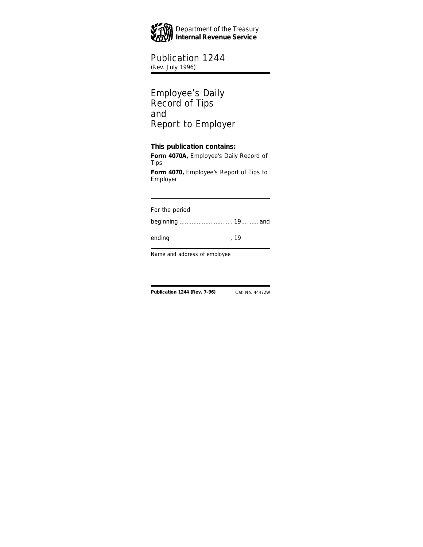

# Publication 1244

(Rev. July 1996)

## Employee's Daily Record of Tips and Report to Employer

# **This publication contains:**

**Form 4070A,** Employee's Daily Record of Tips

**Form 4070,** Employee's Report of Tips to Employer

For the period

beginning ....................., 19 ....... and

ending , 19

Name and address of employee

**Publication 1244 (Rev. 7-96)** Cat. No. 44472W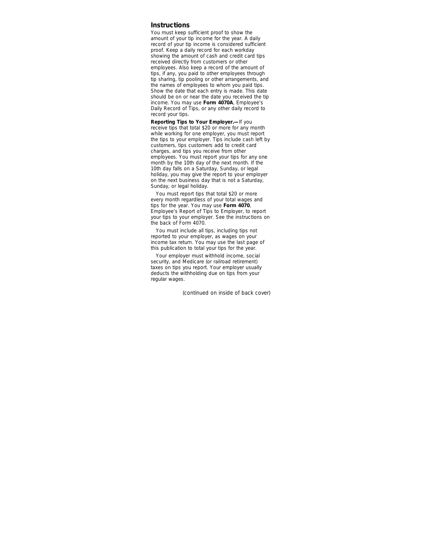#### **Instructions**

You must keep sufficient proof to show the amount of your tip income for the year. A daily record of your tip income is considered sufficient proof. Keep a daily record for each workday showing the amount of cash and credit card tips received directly from customers or other employees. Also keep a record of the amount of tips, if any, you paid to other employees through tip sharing, tip pooling or other arrangements, and the names of employees to whom you paid tips. Show the date that each entry is made. This date should be on or near the date you received the tip income. You may use **Form 4070A**, Employee's Daily Record of Tips, or any other daily record to record your tips.

**Reporting Tips to Your Employer.—**If you receive tips that total \$20 or more for any month while working for one employer, you must report the tips to your employer. Tips include cash left by customers, tips customers add to credit card charges, and tips you receive from other employees. You must report your tips for any one month by the 10th day of the next month. If the 10th day falls on a Saturday, Sunday, or legal holiday, you may give the report to your employer on the next business day that is not a Saturday, Sunday, or legal holiday.

You must report tips that total \$20 or more every month regardless of your total wages and tips for the year. You may use **Form 4070**, Employee's Report of Tips to Employer, to report your tips to your employer. See the instructions on the back of Form 4070.

You must include all tips, including tips not reported to your employer, as wages on your income tax return. You may use the last page of this publication to total your tips for the year.

Your employer must withhold income, social security, and Medicare (or railroad retirement) taxes on tips you report. Your employer usually deducts the withholding due on tips from your regular wages.

*(continued on inside of back cover)*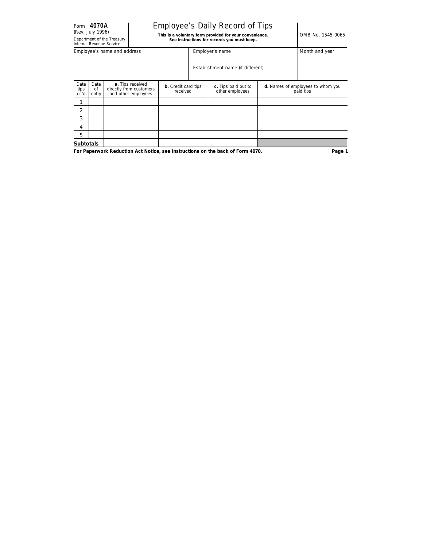### Employee's Daily Record of Tips

Rev. July 1996)<br> **This is a voluntary form provided for your convenience.**<br>
See instructions for records you must keep.

|                        |                     | <b>ILICITIOL IVEVELIUE JELVILE</b> |                                                                    |                                        |                                        |                                                |
|------------------------|---------------------|------------------------------------|--------------------------------------------------------------------|----------------------------------------|----------------------------------------|------------------------------------------------|
|                        |                     | Employee's name and address        |                                                                    |                                        | Employer's name                        | Month and year                                 |
|                        |                     |                                    |                                                                    |                                        | Establishment name (if different)      |                                                |
| Date<br>tips<br>rec'd. | Date<br>of<br>entry |                                    | a. Tips received<br>directly from customers<br>and other employees | <b>b.</b> Credit card tips<br>received | c. Tips paid out to<br>other employees | d. Names of employees to whom you<br>paid tips |
|                        |                     |                                    |                                                                    |                                        |                                        |                                                |
| 2                      |                     |                                    |                                                                    |                                        |                                        |                                                |
| 3                      |                     |                                    |                                                                    |                                        |                                        |                                                |
| 4                      |                     |                                    |                                                                    |                                        |                                        |                                                |
| 5                      |                     |                                    |                                                                    |                                        |                                        |                                                |
| <b>Subtotals</b>       |                     |                                    |                                                                    |                                        |                                        |                                                |

**For Paperwork Reduction Act Notice, see Instructions on the back of Form 4070.**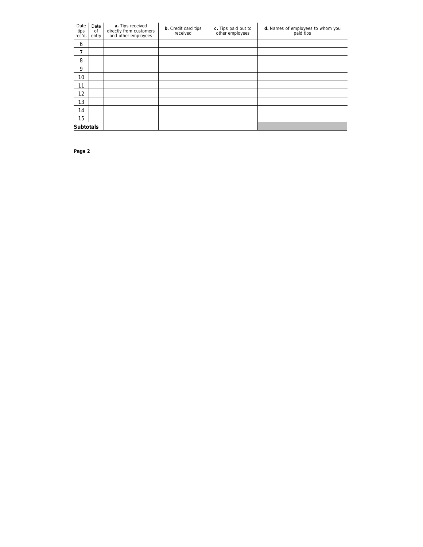| Date<br>tips<br>rec'd. | Date<br>of<br>entry | a. Tips received<br>directly from customers<br>and other employees | <b>b.</b> Credit card tips<br>received | c. Tips paid out to<br>other employees | d. Names of employees to whom you<br>paid tips |
|------------------------|---------------------|--------------------------------------------------------------------|----------------------------------------|----------------------------------------|------------------------------------------------|
| 6                      |                     |                                                                    |                                        |                                        |                                                |
| $\overline{7}$         |                     |                                                                    |                                        |                                        |                                                |
| 8                      |                     |                                                                    |                                        |                                        |                                                |
| 9                      |                     |                                                                    |                                        |                                        |                                                |
| 10                     |                     |                                                                    |                                        |                                        |                                                |
| 11                     |                     |                                                                    |                                        |                                        |                                                |
| 12                     |                     |                                                                    |                                        |                                        |                                                |
| 13                     |                     |                                                                    |                                        |                                        |                                                |
| 14                     |                     |                                                                    |                                        |                                        |                                                |
| 15                     |                     |                                                                    |                                        |                                        |                                                |
| <b>Subtotals</b>       |                     |                                                                    |                                        |                                        |                                                |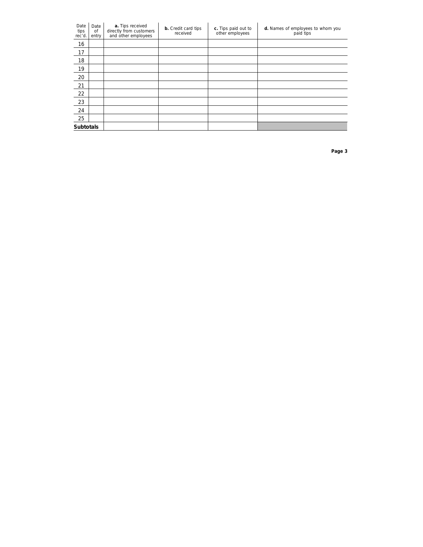| Date<br>tips<br>rec'd. | Date<br>of<br>entry | a. Tips received<br>directly from customers<br>and other employees | <b>b.</b> Credit card tips<br>received | c. Tips paid out to<br>other employees | d. Names of employees to whom you<br>paid tips |
|------------------------|---------------------|--------------------------------------------------------------------|----------------------------------------|----------------------------------------|------------------------------------------------|
| 16                     |                     |                                                                    |                                        |                                        |                                                |
| 17                     |                     |                                                                    |                                        |                                        |                                                |
| 18                     |                     |                                                                    |                                        |                                        |                                                |
| 19                     |                     |                                                                    |                                        |                                        |                                                |
| 20                     |                     |                                                                    |                                        |                                        |                                                |
| 21                     |                     |                                                                    |                                        |                                        |                                                |
| 22                     |                     |                                                                    |                                        |                                        |                                                |
| 23                     |                     |                                                                    |                                        |                                        |                                                |
| 24                     |                     |                                                                    |                                        |                                        |                                                |
| 25                     |                     |                                                                    |                                        |                                        |                                                |
| <b>Subtotals</b>       |                     |                                                                    |                                        |                                        |                                                |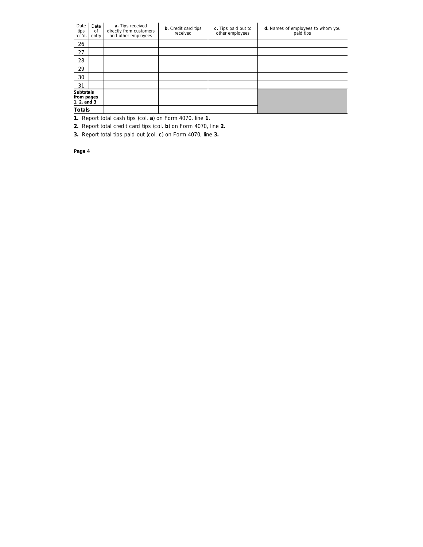| Date<br>tips<br>rec'd.                             | Date<br>of<br>entry | a. Tips received<br>directly from customers<br>and other employees | <b>b.</b> Credit card tips<br>received | c. Tips paid out to<br>other employees | d. Names of employees to whom you<br>paid tips |
|----------------------------------------------------|---------------------|--------------------------------------------------------------------|----------------------------------------|----------------------------------------|------------------------------------------------|
| 26                                                 |                     |                                                                    |                                        |                                        |                                                |
| 27                                                 |                     |                                                                    |                                        |                                        |                                                |
| 28                                                 |                     |                                                                    |                                        |                                        |                                                |
| 29                                                 |                     |                                                                    |                                        |                                        |                                                |
| 30                                                 |                     |                                                                    |                                        |                                        |                                                |
| 31                                                 |                     |                                                                    |                                        |                                        |                                                |
| <b>Subtotals</b><br>from pages<br>1, $2$ , and $3$ |                     |                                                                    |                                        |                                        |                                                |
| <b>Totals</b>                                      |                     |                                                                    |                                        |                                        |                                                |

**1.** Report total cash tips (col. **a**) on Form 4070, line **1.**

**2.** Report total credit card tips (col. **b**) on Form 4070, line **2.**

**3.** Report total tips paid out (col. **c**) on Form 4070, line **3.**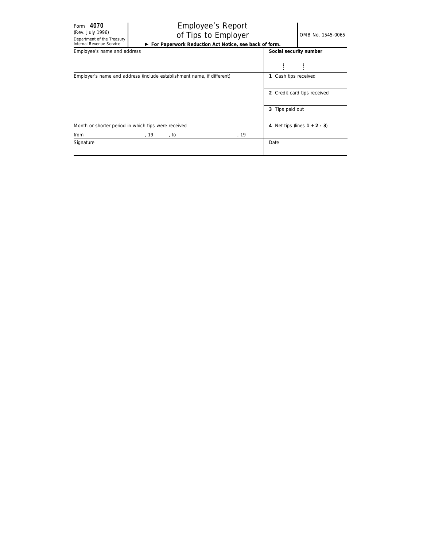### (Rev. July 1996)<br>Denatiment of the Treasury **Of Tips to Employer**  $\bigcirc$  OMB No. 1545-0065 Employee's Report © **For Paperwork Reduction Act Notice, see back of form.**

| Employee's name and address                                            |                                 | Social security number |  |
|------------------------------------------------------------------------|---------------------------------|------------------------|--|
|                                                                        |                                 |                        |  |
|                                                                        |                                 |                        |  |
| Employer's name and address (include establishment name, if different) | 1 Cash tips received            |                        |  |
|                                                                        | 2 Credit card tips received     |                        |  |
|                                                                        | 3 Tips paid out                 |                        |  |
| Month or shorter period in which tips were received                    | 4 Net tips (lines $1 + 2 - 3$ ) |                        |  |
| from<br>, 19<br>, to                                                   | , 19                            |                        |  |
| Signature                                                              | Date                            |                        |  |
|                                                                        |                                 |                        |  |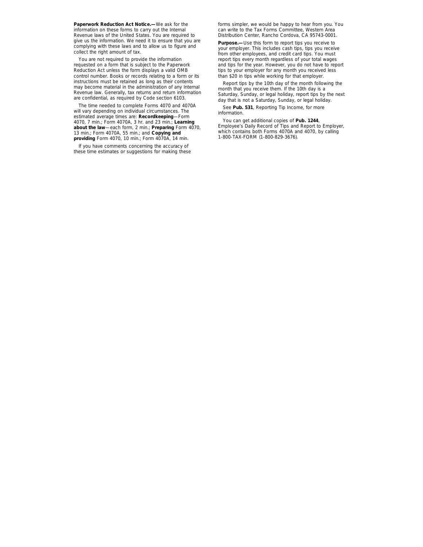**Paperwork Reduction Act Notice.—**We ask for the information on these forms to carry out the Internal Revenue laws of the United States. You are required to give us the information. We need it to ensure that you are complying with these laws and to allow us to figure and collect the right amount of tax.

You are not required to provide the information requested on a form that is subject to the Paperwork Reduction Act unless the form displays a valid OMB control number. Books or records relating to a form or its instructions must be retained as long as their contents may become material in the administration of any Internal Revenue law. Generally, tax returns and return information are confidential, as required by Code section 6103.

The time needed to complete Forms 4070 and 4070A will vary depending on individual circumstances. The estimated average times are: **Recordkeeping**—Form 4070, 7 min.; Form 4070A, 3 hr. and 23 min.; **Learning about the law**—each form, 2 min.; **Preparing** Form 4070, 13 min.; Form 4070A, 55 min.; and **Copying and providing** Form 4070, 10 min.; Form 4070A, 14 min.

If you have comments concerning the accuracy of these time estimates or suggestions for making these forms simpler, we would be happy to hear from you. You can write to the Tax Forms Committee, Western Area Distribution Center, Rancho Cordova, CA 95743-0001.

**Purpose.—**Use this form to report tips you receive to your employer. This includes cash tips, tips you receive from other employees, and credit card tips. You must report tips every month regardless of your total wages and tips for the year. However, you do not have to report tips to your employer for any month you received less than \$20 in tips while working for that employer.

Report tips by the 10th day of the month following the month that you receive them. If the 10th day is a Saturday, Sunday, or legal holiday, report tips by the next day that is not a Saturday, Sunday, or legal holiday.

See **Pub. 531**, Reporting Tip Income, for more information.

You can get additional copies of **Pub. 1244**, Employee's Daily Record of Tips and Report to Employer, which contains both Forms 4070A and 4070, by calling 1-800-TAX-FORM (1-800-829-3676).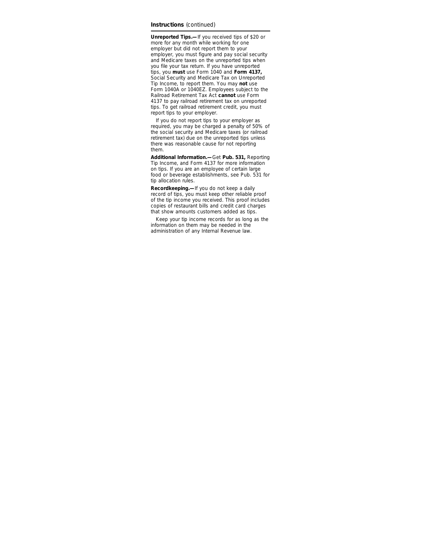#### **Instructions** *(continued)*

**Unreported Tips.—**If you received tips of \$20 or more for any month while working for one employer but did not report them to your employer, you must figure and pay social security and Medicare taxes on the unreported tips when you file your tax return. If you have unreported tips, you **must** use Form 1040 and **Form 4137,** Social Security and Medicare Tax on Unreported Tip Income, to report them. You may **not** use Form 1040A or 1040EZ. Employees subject to the Railroad Retirement Tax Act **cannot** use Form 4137 to pay railroad retirement tax on unreported tips. To get railroad retirement credit, you must report tips to your employer.

If you do not report tips to your employer as required, you may be charged a penalty of 50% of the social security and Medicare taxes (or railroad retirement tax) due on the unreported tips unless there was reasonable cause for not reporting them.

**Additional Information.—**Get **Pub. 531,** Reporting Tip Income, and Form 4137 for more information on tips. If you are an employee of certain large food or beverage establishments, see Pub. 531 for tip allocation rules.

**Recordkeeping.—**If you do not keep a daily record of tips, you must keep other reliable proof of the tip income you received. This proof includes copies of restaurant bills and credit card charges that show amounts customers added as tips.

Keep your tip income records for as long as the information on them may be needed in the administration of any Internal Revenue law.